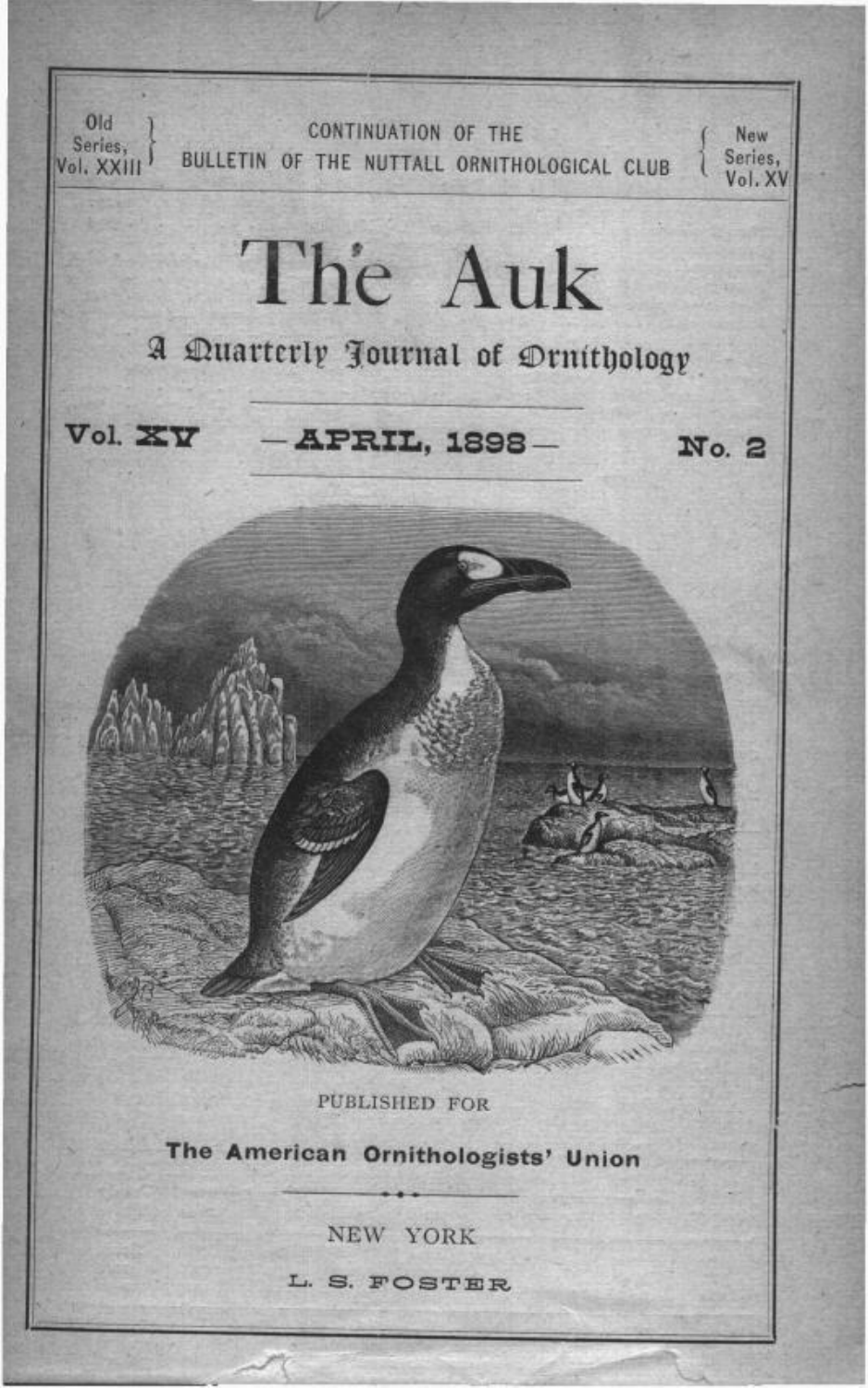